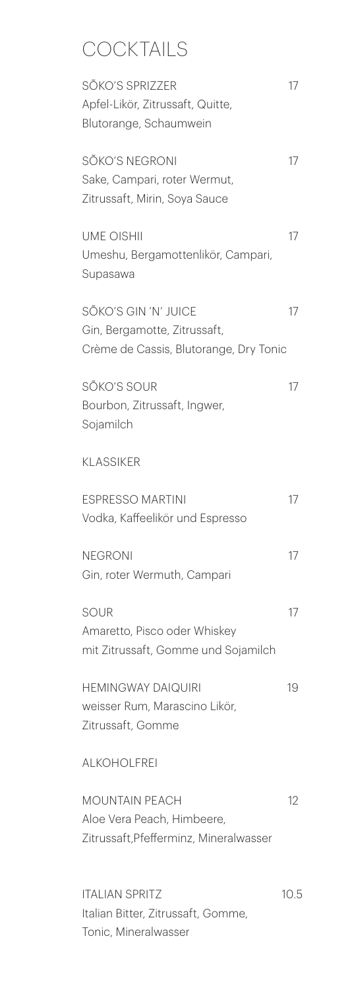## **COCKTAILS**

| SÕKO'S SPRIZZER<br>Apfel-Likör, Zitrussaft, Quitte,<br>Blutorange, Schaumwein                  | 17   |
|------------------------------------------------------------------------------------------------|------|
| SÕKO'S NEGRONI<br>Sake, Campari, roter Wermut,<br>Zitrussaft, Mirin, Soya Sauce                | 17   |
| <b>UME OISHII</b><br>Umeshu, Bergamottenlikör, Campari,<br>Supasawa                            | 17   |
| SÕKO'S GIN 'N' JUICE<br>Gin, Bergamotte, Zitrussaft,<br>Crème de Cassis, Blutorange, Dry Tonic | 17   |
| SÕKO'S SOUR<br>Bourbon, Zitrussaft, Ingwer,<br>Sojamilch                                       | 17   |
| <b>KLASSIKER</b>                                                                               |      |
| <b>ESPRESSO MARTINI</b><br>Vodka, Kaffeelikör und Espresso                                     | 17   |
| <b>NFGRONI</b><br>Gin, roter Wermuth, Campari                                                  | 17   |
| SOUR<br>Amaretto, Pisco oder Whiskey<br>mit Zitrussaft, Gomme und Sojamilch                    | 17   |
| <b>HEMINGWAY DAIQUIRI</b><br>weisser Rum, Marascino Likör,<br>Zitrussaft, Gomme                | 19   |
| <b>ALKOHOLFREI</b>                                                                             |      |
| <b>MOUNTAIN PEACH</b><br>Aloe Vera Peach, Himbeere,<br>Zitrussaft, Pfefferminz, Mineralwasser  | 12   |
| <b>ITALIAN SPRITZ</b><br>Italian Bitter, Zitrussaft, Gomme,<br>Tonic, Mineralwasser            | 10.5 |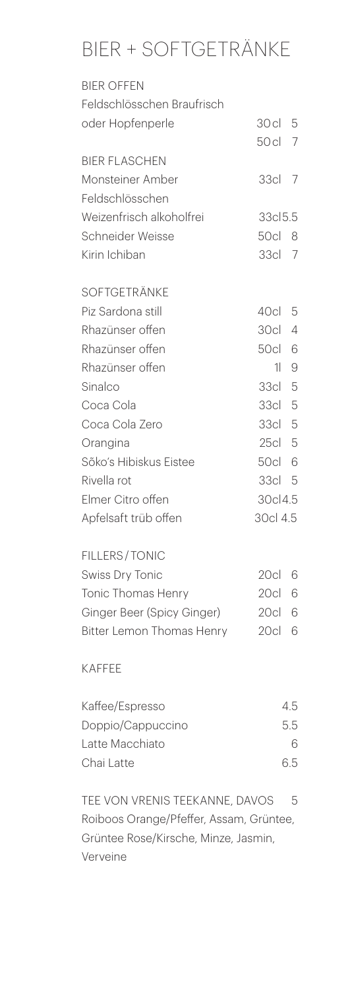## BIER + SOFTGETRÄNKE

| <b>BIER OFFEN</b>                |               |                |
|----------------------------------|---------------|----------------|
| Feldschlösschen Braufrisch       |               |                |
| oder Hopfenperle                 | 30 cl         | 5              |
|                                  | 50 cl         | $\overline{7}$ |
| <b>BIER FLASCHEN</b>             |               |                |
| Monsteiner Amber                 | 33cl          | 7              |
| Feldschlösschen                  |               |                |
| Weizenfrisch alkoholfrei         | 33cl5.5       |                |
| Schneider Weisse                 | 50cl 8        |                |
| Kirin Ichiban                    | 33cl          | $\overline{7}$ |
| <b>SOFTGETRÄNKE</b>              |               |                |
| Piz Sardona still                | 40cl          | 5              |
| Rhazünser offen                  | 30c           | 4              |
| Rhazünser offen                  | 50cl          | 6              |
| Rhazünser offen                  | $\frac{1}{2}$ | 9              |
| Sinalco                          | 33cl          | 5              |
| Coca Cola                        | 33cl 5        |                |
| Coca Cola Zero                   | 33cl 5        |                |
| Orangina                         | 25cl 5        |                |
| Sõko's Hibiskus Eistee           | 50cl 6        |                |
| Rivella rot                      | 33cl 5        |                |
| Elmer Citro offen                | 30cl4.5       |                |
| Apfelsaft trüb offen             | 30cl 4.5      |                |
| <b>FILLERS/TONIC</b>             |               |                |
| <b>Swiss Dry Tonic</b>           | 20cl          | 6              |
| <b>Tonic Thomas Henry</b>        | 20cl          | 6              |
| Ginger Beer (Spicy Ginger)       | 20c           | 6              |
| <b>Bitter Lemon Thomas Henry</b> | 20c           | 6              |

## KAFFEE

| Kaffee/Espresso   | 45 |
|-------------------|----|
| Doppio/Cappuccino | 55 |
| Latte Macchiato   | 6  |
| Chai Latte        | 65 |

TEE VON VRENIS TEEKANNE, DAVOS 5 Roiboos Orange/Pfeffer, Assam, Grüntee, Grüntee Rose/Kirsche, Minze, Jasmin, Verveine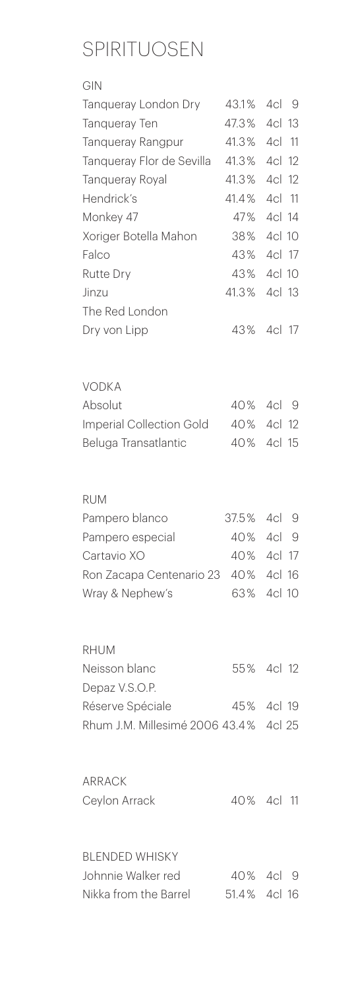## CDIDITI INCENI

| SPIRITUU JSEIN            |              |        |      |
|---------------------------|--------------|--------|------|
| GIN                       |              |        |      |
| Tangueray London Dry      | 43.1% 4cl 9  |        |      |
| <b>Tanqueray Ten</b>      | 47.3%        | 4cl 13 |      |
| <b>Tanqueray Rangpur</b>  | 41.3%        | 4cl    | - 11 |
| Tanqueray Flor de Sevilla | 41.3% 4cl 12 |        |      |
| <b>Tanqueray Royal</b>    | 41.3%        | 4cl 12 |      |
| Hendrick's                | 41.4%        | 4cl    | - 11 |
| Monkey 47                 | 47%          | 4cl 14 |      |
| Xoriger Botella Mahon     | 38%          | 4cl 10 |      |
| Falco                     | 43% 4cl 17   |        |      |
| <b>Rutte Dry</b>          | 43%          | 4cl 10 |      |
| Jinzu                     | 41.3% 4cl 13 |        |      |
| The Red London            |              |        |      |
| Dry von Lipp              | 43%          | 4cl 17 |      |
|                           |              |        |      |
|                           |              |        |      |
| <b>VODKA</b>              |              |        |      |
| Absolut                   | 40% 4cl      |        | 9    |
| Imperial Collection Gold  | 40% 4cl 12   |        |      |
| Beluga Transatlantic      | 40%          | 4cl 15 |      |
|                           |              |        |      |
|                           |              |        |      |

| $\sim$ |  |
|--------|--|

| Pampero blanco                      | 37.5% 4cl 9 |  |
|-------------------------------------|-------------|--|
| Pampero especial                    | 40% 4cl 9   |  |
| Cartavio XO                         | 40% 4cl 17  |  |
| Ron Zacapa Centenario 23 40% 4cl 16 |             |  |
| Wray & Nephew's                     | 63% 4cl 10  |  |
|                                     |             |  |

| RHUM                                  |            |  |
|---------------------------------------|------------|--|
| Neisson blanc                         | 55% 4cl 12 |  |
| Depaz V.S.O.P.                        |            |  |
| Réserve Spéciale                      | 45% 4cl 19 |  |
| Rhum J.M. Millesimé 2006 43.4% 4cl 25 |            |  |

| ARRACK        |            |  |
|---------------|------------|--|
| Ceylon Arrack | 40% 4cl 11 |  |

BLENDED WHISKY Johnnie Walker red  $10\%$  40<sup>%</sup> 4cl 9 Nikka from the Barrel 51.4 % 4cl 16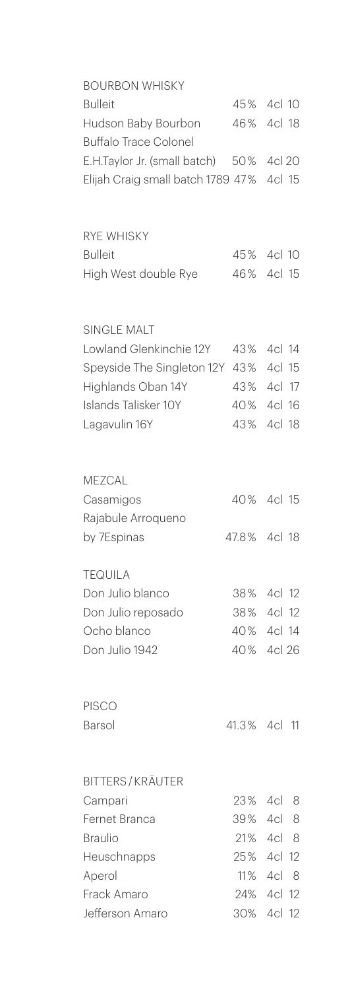| <b>BOURBON WHISKY</b>                    |              |        |     |
|------------------------------------------|--------------|--------|-----|
| <b>Bulleit</b>                           | 45% 4cl 10   |        |     |
| Hudson Baby Bourbon                      | 46% 4cl 18   |        |     |
| <b>Buffalo Trace Colonel</b>             |              |        |     |
| E.H.Taylor Jr. (small batch) 50%         |              | 4cl 20 |     |
| Elijah Craig small batch 1789 47% 4cl 15 |              |        |     |
|                                          |              |        |     |
| <b>RYE WHISKY</b>                        |              |        |     |
| <b>Bulleit</b>                           | 45% 4cl 10   |        |     |
| High West double Rye                     | 46% 4cl 15   |        |     |
| <b>SINGLE MALT</b>                       |              |        |     |
| Lowland Glenkinchie 12Y                  | 43%          | 4cl 14 |     |
| Speyside The Singleton 12Y               | 43%          | 4cl 15 |     |
| Highlands Oban 14Y                       | 43% 4cl 17   |        |     |
| Islands Talisker 10Y                     | 40% 4cl 16   |        |     |
| Lagavulin 16Y                            | 43%          | 4cl 18 |     |
| MEZCAL                                   |              |        |     |
| Casamigos                                | 40% 4cl 15   |        |     |
| Rajabule Arroqueno                       |              |        |     |
| by 7Espinas                              | 47.8% 4cl 18 |        |     |
| <b>TEQUILA</b>                           |              |        |     |
| Don Julio blanco                         | 38% 4cl 12   |        |     |
| Don Julio reposado                       | 38% 4cl 12   |        |     |
| Ocho blanco                              | 40% 4cl 14   |        |     |
| Don Julio 1942                           | 40% 4cl 26   |        |     |
| <b>PISCO</b>                             |              |        |     |
| Barsol                                   | 41.3% 4cl    |        | 11  |
| <b>BITTERS/KRÄUTER</b>                   |              |        |     |
| Campari                                  | 23% 4cl 8    |        |     |
| Fernet Branca                            | 39% 4cl 8    |        |     |
| <b>Braulio</b>                           | 21% 4cl 8    |        |     |
| Heuschnapps                              | 25% 4cl 12   |        |     |
| Aperol                                   | 11% 4cl      |        | - 8 |
| Frack Amaro                              | 24% 4cl 12   |        |     |
| Jefferson Amaro                          | 30%          | 4cl 12 |     |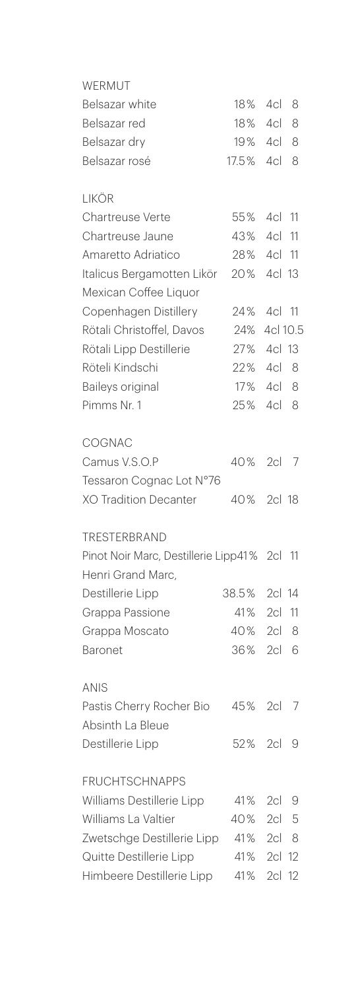| WFRMUT                                                        |              |                 |    |
|---------------------------------------------------------------|--------------|-----------------|----|
| Belsazar white                                                | 18%          | 4cl             | 8  |
| Belsazar red                                                  | 18%          | 4cl             | 8  |
| Belsazar dry                                                  | 19%          | 4cl 8           |    |
| Belsazar rosé                                                 | 17.5%        | 4c1             | 8  |
| <b>LIKÖR</b>                                                  |              |                 |    |
| Chartreuse Verte                                              | 55%          | 4cl 11          |    |
| Chartreuse Jaune                                              | 43%          | 4cl             | 11 |
| Amaretto Adriatico                                            | 28%          | 4cl 11          |    |
| Italicus Bergamotten Likör                                    | 20%          | 4cl 13          |    |
| Mexican Coffee Liquor                                         |              |                 |    |
| Copenhagen Distillery                                         | 24%          | 4cl 11          |    |
| Rötali Christoffel, Davos                                     | 24%          | 4cl 10.5        |    |
| Rötali Lipp Destillerie                                       | 27%          | 4cl 13          |    |
| Röteli Kindschi                                               | 22%          | 4cl 8           |    |
| Baileys original                                              | 17%          | 4cl 8           |    |
| Pimms Nr. 1                                                   | 25%          | 4cl             | 8  |
| COGNAC                                                        |              |                 |    |
| Camus V.S.O.P                                                 | 40%          | 2c <sub>l</sub> | 7  |
| Tessaron Cognac Lot N°76                                      |              |                 |    |
| <b>XO Tradition Decanter</b>                                  | 40%          | 2cl 18          |    |
| TRESTERBRAND                                                  |              |                 |    |
| Pinot Noir Marc, Destillerie Lipp41% 2cl<br>Henri Grand Marc, |              |                 | 11 |
| Destillerie Lipp                                              | 38.5% 2cl 14 |                 |    |
|                                                               | 41%          | 2c <sub>l</sub> | 11 |
| Grappa Passione                                               | 40%          | 2c <sub>l</sub> | 8  |
| Grappa Moscato                                                | 36%          | 2cl             | 6  |
| <b>Baronet</b>                                                |              |                 |    |
| <b>ANIS</b>                                                   |              |                 |    |
| Pastis Cherry Rocher Bio                                      | 45%          | 2cl             | 7  |
| Absinth La Bleue                                              |              |                 |    |
| Destillerie Lipp                                              | 52%          | 2c <sub>l</sub> | 9  |
| <b>FRUCHTSCHNAPPS</b>                                         |              |                 |    |
| Williams Destillerie Lipp                                     | 41%          | 2cl             | 9  |
| Williams La Valtier                                           | 40%          | 2c1             | 5  |
| Zwetschge Destillerie Lipp                                    | 41%          | 2c  8           |    |
| Quitte Destillerie Lipp                                       | 41%          | 2cl             | 12 |
| Himbeere Destillerie Lipp                                     | 41%          | 2c <sub>l</sub> | 12 |